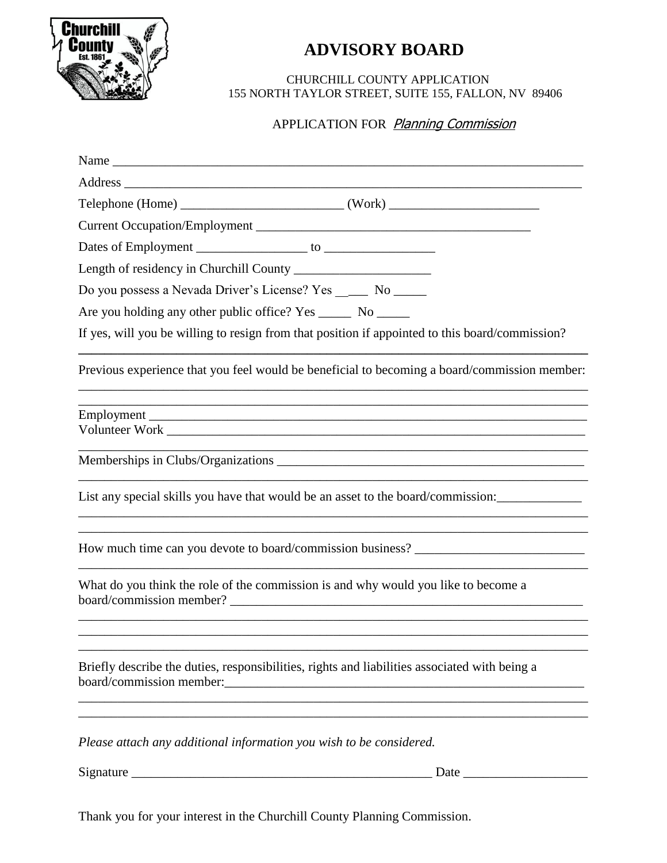

## **ADVISORY BOARD**

 CHURCHILL COUNTY APPLICATION 155 NORTH TAYLOR STREET, SUITE 155, FALLON, NV 89406

## APPLICATION FOR Planning Commission

| Name                                                                                                                                    |
|-----------------------------------------------------------------------------------------------------------------------------------------|
|                                                                                                                                         |
|                                                                                                                                         |
|                                                                                                                                         |
|                                                                                                                                         |
|                                                                                                                                         |
| Do you possess a Nevada Driver's License? Yes _____ No _____                                                                            |
| Are you holding any other public office? Yes ________ No _______                                                                        |
| If yes, will you be willing to resign from that position if appointed to this board/commission?                                         |
| Previous experience that you feel would be beneficial to becoming a board/commission member:                                            |
| ,我们也不能在这里的时候,我们也不能在这里的时候,我们也不能会在这里的时候,我们也不能会在这里的时候,我们也不能会在这里的时候,我们也不能会在这里的时候,我们也不                                                       |
|                                                                                                                                         |
|                                                                                                                                         |
| List any special skills you have that would be an asset to the board/commission:                                                        |
| How much time can you devote to board/commission business? ______________________                                                       |
| What do you think the role of the commission is and why would you like to become a                                                      |
|                                                                                                                                         |
| Briefly describe the duties, responsibilities, rights and liabilities associated with being a                                           |
| <u> 1980 - Jan James James Barnett, fransk politik (d. 1980)</u><br>Please attach any additional information you wish to be considered. |
| Date $\overline{\phantom{a}}$                                                                                                           |

Thank you for your interest in the Churchill County Planning Commission.